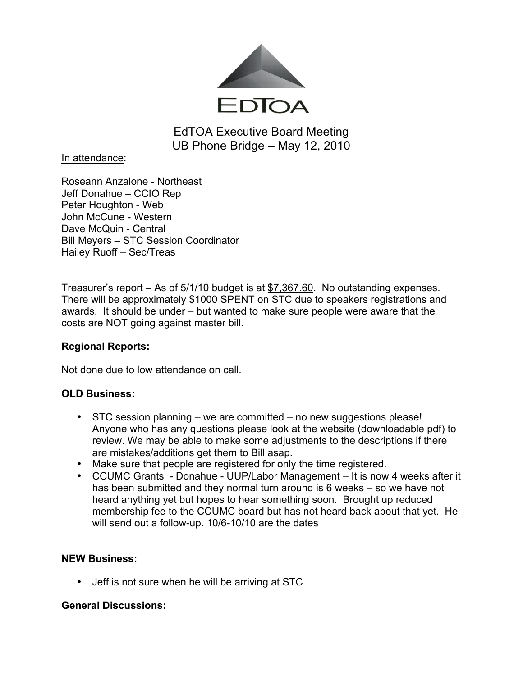

EdTOA Executive Board Meeting UB Phone Bridge – May 12, 2010

In attendance:

Roseann Anzalone - Northeast Jeff Donahue – CCIO Rep Peter Houghton - Web John McCune - Western Dave McQuin - Central Bill Meyers – STC Session Coordinator Hailey Ruoff – Sec/Treas

Treasurer's report – As of 5/1/10 budget is at \$7,367.60. No outstanding expenses. There will be approximately \$1000 SPENT on STC due to speakers registrations and awards. It should be under – but wanted to make sure people were aware that the costs are NOT going against master bill.

# **Regional Reports:**

Not done due to low attendance on call.

# **OLD Business:**

- STC session planning we are committed no new suggestions please! Anyone who has any questions please look at the website (downloadable pdf) to review. We may be able to make some adjustments to the descriptions if there are mistakes/additions get them to Bill asap.
- Make sure that people are registered for only the time registered.
- CCUMC Grants Donahue UUP/Labor Management It is now 4 weeks after it has been submitted and they normal turn around is 6 weeks – so we have not heard anything yet but hopes to hear something soon. Brought up reduced membership fee to the CCUMC board but has not heard back about that yet. He will send out a follow-up. 10/6-10/10 are the dates

# **NEW Business:**

• Jeff is not sure when he will be arriving at STC

# **General Discussions:**